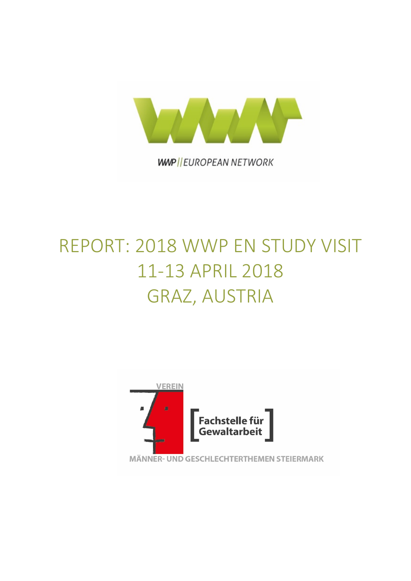

**WWP | EUROPEAN NETWORK** 

# REPORT: 2018 WWP EN STUDY VISIT 11-13 APRIL 2018 GRAZ, AUSTRIA

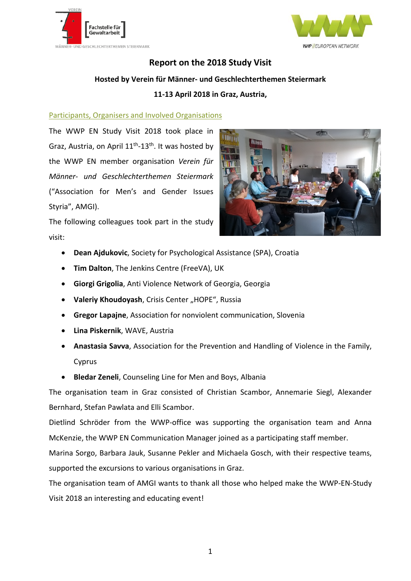



## **Report on the 2018 Study Visit**

## **Hosted by Verein für Männer- und Geschlechterthemen Steiermark**

### **11-13 April 2018 in Graz, Austria,**

#### Participants, Organisers and Involved Organisations

The WWP EN Study Visit 2018 took place in Graz, Austria, on April 11<sup>th</sup>-13<sup>th</sup>. It was hosted by the WWP EN member organisation *Verein für Männer- und Geschlechterthemen Steiermark* ("Association for Men's and Gender Issues Styria", AMGI).



The following colleagues took part in the study visit:

- **Dean Ajdukovic**, Society for Psychological Assistance (SPA), Croatia
- **Tim Dalton**, The Jenkins Centre (FreeVA), UK
- **Giorgi Grigolia**, Anti Violence Network of Georgia, Georgia
- Valeriy Khoudoyash, Crisis Center "HOPE", Russia
- **Gregor Lapajne**, Association for nonviolent communication, Slovenia
- **Lina Piskernik**, WAVE, Austria
- **Anastasia Savva**, Association for the Prevention and Handling of Violence in the Family, Cyprus
- **Bledar Zeneli**, Counseling Line for Men and Boys, Albania

The organisation team in Graz consisted of Christian Scambor, Annemarie Siegl, Alexander Bernhard, Stefan Pawlata and Elli Scambor.

Dietlind Schröder from the WWP-office was supporting the organisation team and Anna McKenzie, the WWP EN Communication Manager joined as a participating staff member.

Marina Sorgo, Barbara Jauk, Susanne Pekler and Michaela Gosch, with their respective teams, supported the excursions to various organisations in Graz.

The organisation team of AMGI wants to thank all those who helped make the WWP-EN-Study Visit 2018 an interesting and educating event!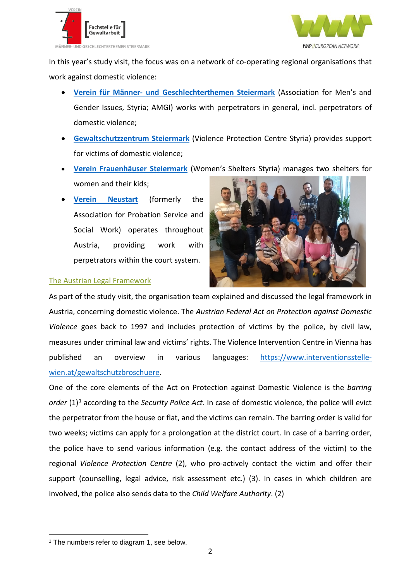



In this year's study visit, the focus was on a network of co-operating regional organisations that work against domestic violence:

- **Verein für Männer- [und Geschlechterthemen Steiermark](http://www.vmg-steiermark.at/)** (Association for Men's and Gender Issues, Styria; AMGI) works with perpetrators in general, incl. perpetrators of domestic violence;
- **[Gewaltschutzzentrum Steiermark](http://www.gewaltschutzzentrum-steiermark.at/)** (Violence Protection Centre Styria) provides support for victims of domestic violence;
- **[Verein Frauenhäuser Steiermark](http://www.frauenhaeuser.at/)** (Women's Shelters Styria) manages two shelters for women and their kids;
- **Verein [Neustart](https://www.neustart.at/at/de/unsere_kontakte/steiermark/)** (formerly the Association for Probation Service and Social Work) operates throughout Austria, providing work with perpetrators within the court system.

#### The Austrian Legal Framework



As part of the study visit, the organisation team explained and discussed the legal framework in Austria, concerning domestic violence. The *Austrian Federal Act on Protection against Domestic Violence* goes back to 1997 and includes protection of victims by the police, by civil law, measures under criminal law and victims' rights. The Violence Intervention Centre in Vienna has published an overview in various languages: [https://www.interventionsstelle](https://www.interventionsstelle-wien.at/gewaltschutzbroschuere)[wien.at/gewaltschutzbroschuere.](https://www.interventionsstelle-wien.at/gewaltschutzbroschuere)

One of the core elements of the Act on Protection against Domestic Violence is the *barring order* ([1](#page-2-0))<sup>1</sup> according to the *Security Police Act*. In case of domestic violence, the police will evict the perpetrator from the house or flat, and the victims can remain. The barring order is valid for two weeks; victims can apply for a prolongation at the district court. In case of a barring order, the police have to send various information (e.g. the contact address of the victim) to the regional *Violence Protection Centre* (2), who pro-actively contact the victim and offer their support (counselling, legal advice, risk assessment etc.) (3). In cases in which children are involved, the police also sends data to the *Child Welfare Authority*. (2)

<span id="page-2-0"></span><sup>&</sup>lt;u>.</u> <sup>1</sup> The numbers refer to diagram 1, see below.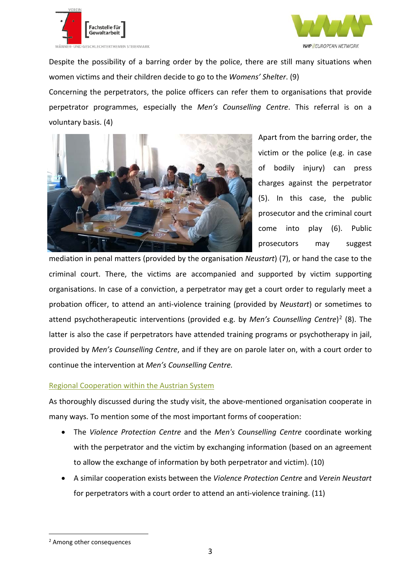



Despite the possibility of a barring order by the police, there are still many situations when women victims and their children decide to go to the *Womens' Shelter*. (9)

Concerning the perpetrators, the police officers can refer them to organisations that provide perpetrator programmes, especially the *Men's Counselling Centre*. This referral is on a voluntary basis. (4)



Apart from the barring order, the victim or the police (e.g. in case of bodily injury) can press charges against the perpetrator (5). In this case, the public prosecutor and the criminal court come into play (6). Public prosecutors may suggest

mediation in penal matters (provided by the organisation *Neustart*) (7), or hand the case to the criminal court. There, the victims are accompanied and supported by victim supporting organisations. In case of a conviction, a perpetrator may get a court order to regularly meet a probation officer, to attend an anti-violence training (provided by *Neustart*) or sometimes to attend psychotherapeutic interventions (provided e.g. by *Men's Counselling Centre*)<sup>[2](#page-3-0)</sup> (8). The latter is also the case if perpetrators have attended training programs or psychotherapy in jail, provided by *Men's Counselling Centre*, and if they are on parole later on, with a court order to continue the intervention at *Men's Counselling Centre.*

#### Regional Cooperation within the Austrian System

As thoroughly discussed during the study visit, the above-mentioned organisation cooperate in many ways. To mention some of the most important forms of cooperation:

- The *Violence Protection Centre* and the *Men's Counselling Centre* coordinate working with the perpetrator and the victim by exchanging information (based on an agreement to allow the exchange of information by both perpetrator and victim). (10)
- A similar cooperation exists between the *Violence Protection Centre* and *Verein Neustart* for perpetrators with a court order to attend an anti-violence training. (11)

<span id="page-3-0"></span> <sup>2</sup> Among other consequences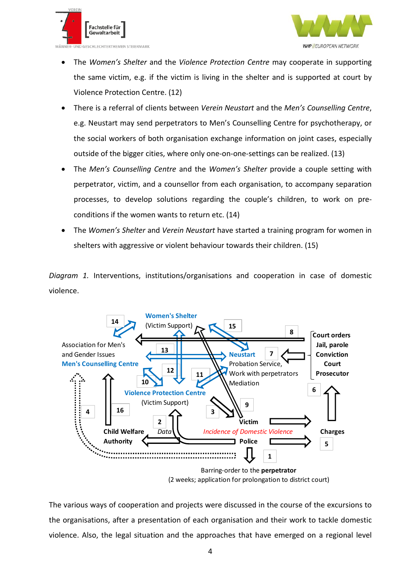



- The *Women's Shelter* and the *Violence Protection Centre* may cooperate in supporting the same victim, e.g. if the victim is living in the shelter and is supported at court by Violence Protection Centre. (12)
- There is a referral of clients between *Verein Neustart* and the *Men's Counselling Centre*, e.g. Neustart may send perpetrators to Men's Counselling Centre for psychotherapy, or the social workers of both organisation exchange information on joint cases, especially outside of the bigger cities, where only one-on-one-settings can be realized. (13)
- The *Men's Counselling Centre* and the *Women's Shelter* provide a couple setting with perpetrator, victim, and a counsellor from each organisation, to accompany separation processes, to develop solutions regarding the couple's children, to work on preconditions if the women wants to return etc. (14)
- The *Women's Shelter* and *Verein Neustart* have started a training program for women in shelters with aggressive or violent behaviour towards their children. (15)

*Diagram 1.* Interventions, institutions/organisations and cooperation in case of domestic violence.



The various ways of cooperation and projects were discussed in the course of the excursions to the organisations, after a presentation of each organisation and their work to tackle domestic violence. Also, the legal situation and the approaches that have emerged on a regional level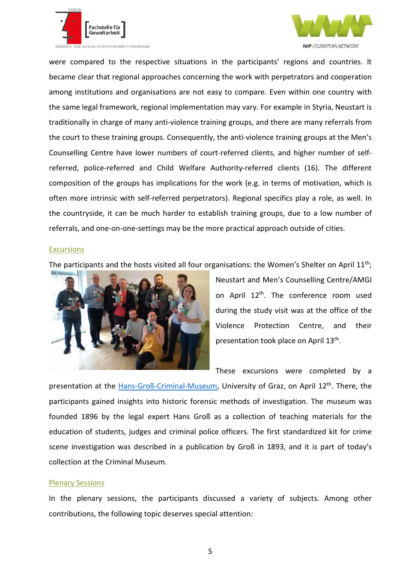



were compared to the respective situations in the participants' regions and countries. It became clear that regional approaches concerning the work with perpetrators and cooperation among institutions and organisations are not easy to compare. Even within one country with the same legal framework, regional implementation may vary. For example in Styria, Neustart is traditionally in charge of many anti-violence training groups, and there are many referrals from the court to these training groups. Consequently, the anti-violence training groups at the Men's Counselling Centre have lower numbers of court-referred clients, and higher number of selfreferred, police-referred and Child Welfare Authority-referred clients (16). The different composition of the groups has implications for the work (e.g. in terms of motivation, which is often more intrinsic with self-referred perpetrators). Regional specifics play a role, as well. In the countryside, it can be much harder to establish training groups, due to a low number of referrals, and one-on-one-settings may be the more practical approach outside of cities.

#### Excursions

The participants and the hosts visited all four organisations: the Women's Shelter on April 11<sup>th</sup>;



Neustart and Men's Counselling Centre/AMGI on April 12<sup>th</sup>. The conference room used during the study visit was at the office of the Violence Protection Centre, and their presentation took place on April 13th.

These excursions were completed by a

presentation at the [Hans-Groß-Criminal-Museum,](https://kriminalmuseum.uni-graz.at/de/gruendung/) University of Graz, on April 12<sup>th</sup>. There, the participants gained insights into historic forensic methods of investigation. The museum was founded 1896 by the legal expert Hans Groß as a collection of teaching materials for the education of students, judges and criminal police officers. The first standardized kit for crime scene investigation was described in a publication by Groß in 1893, and it is part of today's collection at the Criminal Museum.

#### Plenary Sessions

In the plenary sessions, the participants discussed a variety of subjects. Among other contributions, the following topic deserves special attention: